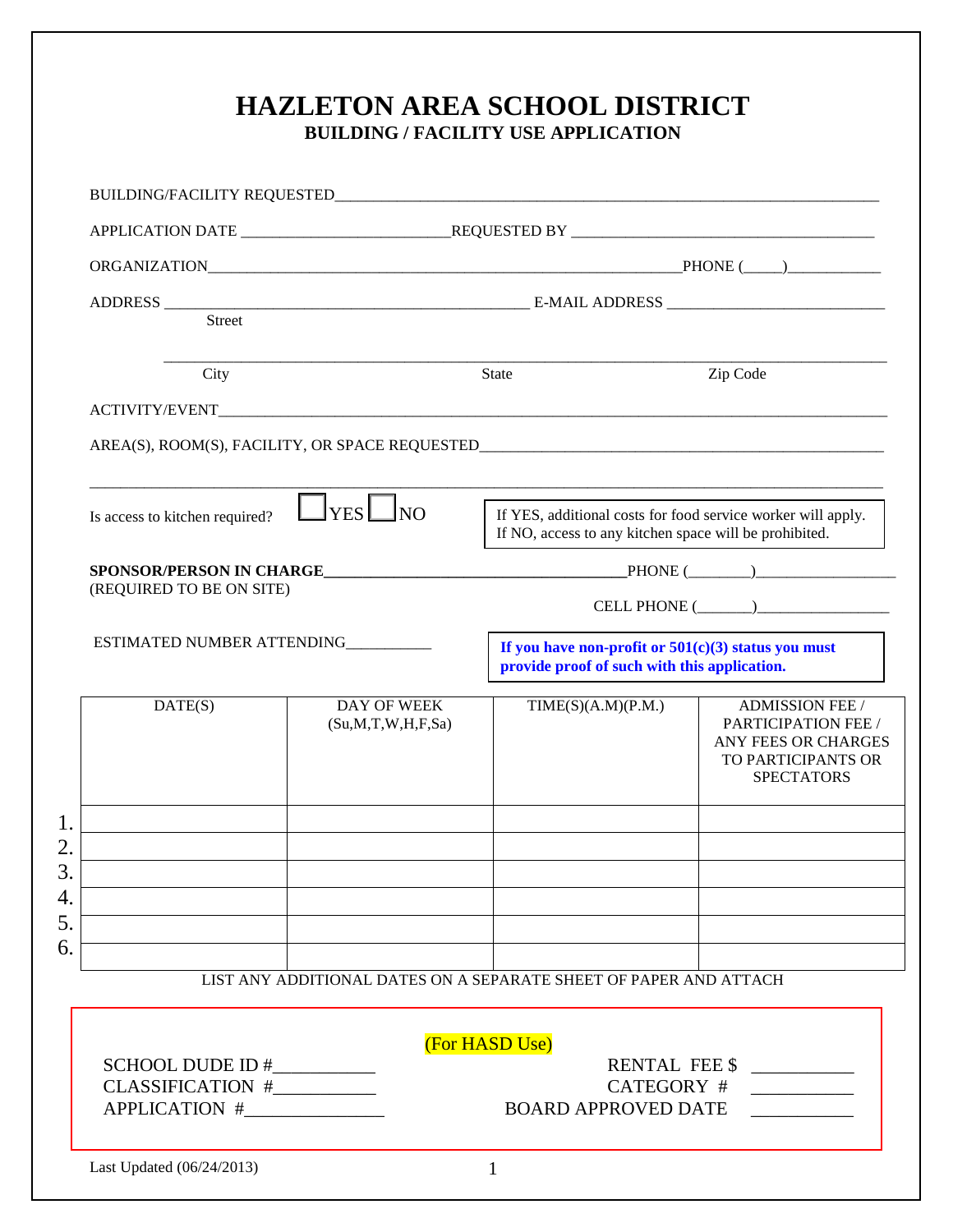| <b>Street</b>                                                |                                        |                                                                                                       |                                                                                                                 |
|--------------------------------------------------------------|----------------------------------------|-------------------------------------------------------------------------------------------------------|-----------------------------------------------------------------------------------------------------------------|
|                                                              |                                        |                                                                                                       |                                                                                                                 |
| City                                                         |                                        | <b>State</b>                                                                                          | Zip Code                                                                                                        |
| Is access to kitchen required?                               | $\Box$ YES $\Box$ NO                   | If NO, access to any kitchen space will be prohibited.                                                | If YES, additional costs for food service worker will apply.                                                    |
|                                                              |                                        |                                                                                                       |                                                                                                                 |
| (REQUIRED TO BE ON SITE)                                     |                                        |                                                                                                       | $CELL PHONE (\_ )$                                                                                              |
| ESTIMATED NUMBER ATTENDING__________                         |                                        | If you have non-profit or $501(c)(3)$ status you must<br>provide proof of such with this application. |                                                                                                                 |
| DATE(S)                                                      | DAY OF WEEK<br>(Su, M, T, W, H, F, Sa) | TIME(S)(A.M)(P.M.)                                                                                    | <b>ADMISSION FEE /</b><br>PARTICIPATION FEE /<br>ANY FEES OR CHARGES<br>TO PARTICIPANTS OR<br><b>SPECTATORS</b> |
|                                                              |                                        |                                                                                                       |                                                                                                                 |
|                                                              |                                        | LIST ANY ADDITIONAL DATES ON A SEPARATE SHEET OF PAPER AND ATTACH                                     |                                                                                                                 |
|                                                              |                                        | (For HASD Use)                                                                                        |                                                                                                                 |
|                                                              |                                        |                                                                                                       |                                                                                                                 |
| SCHOOL DUDE ID #___________<br>CLASSIFICATION #_____________ |                                        |                                                                                                       | RENTAL FEE \$<br>CATEGORY #<br>$\overline{\phantom{a}}$ . The contract of $\overline{\phantom{a}}$              |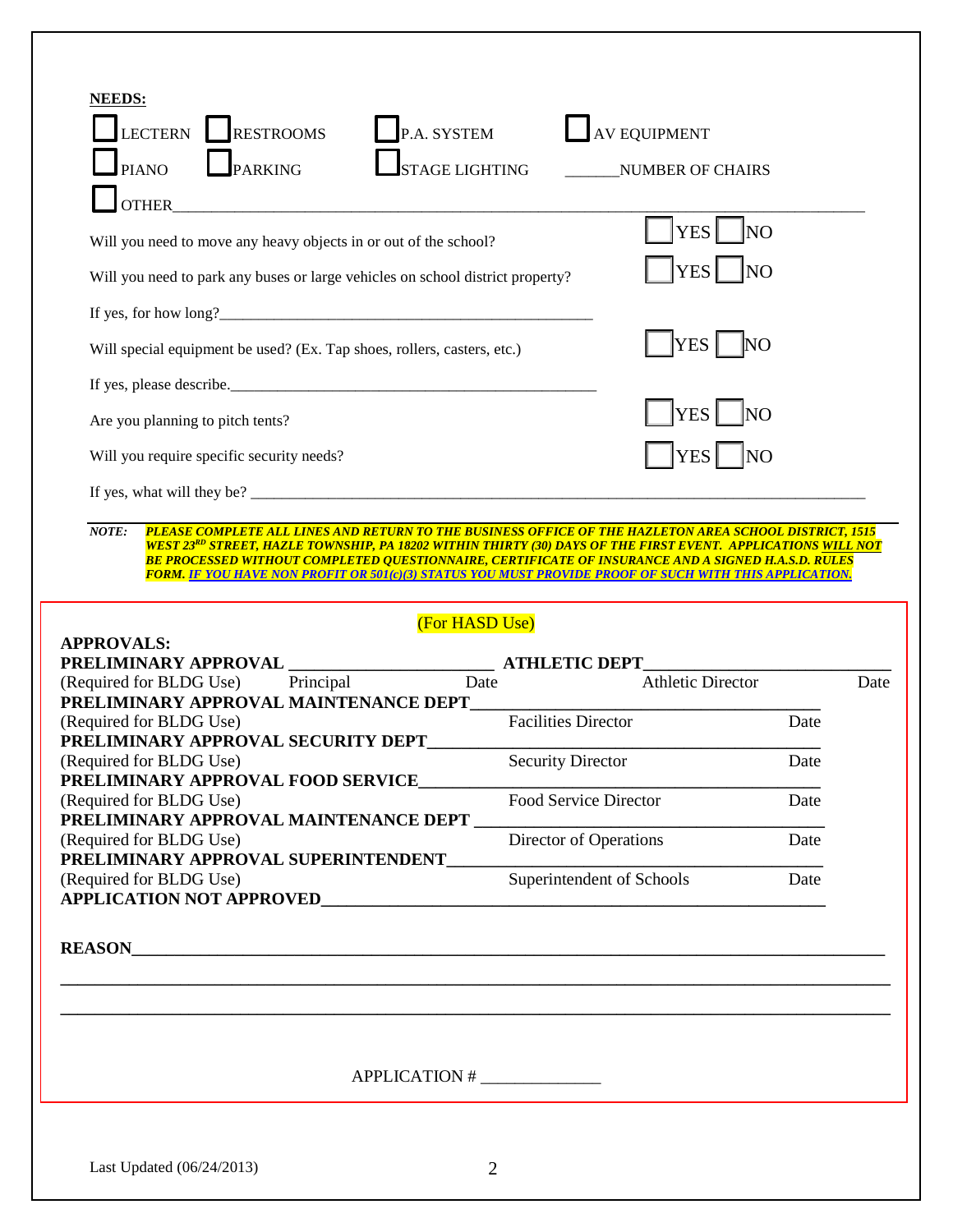| <b>NEEDS:</b>                                                                                                                                                                                                                                                                                                                                                      |                            |                                                                                                                                                  |      |
|--------------------------------------------------------------------------------------------------------------------------------------------------------------------------------------------------------------------------------------------------------------------------------------------------------------------------------------------------------------------|----------------------------|--------------------------------------------------------------------------------------------------------------------------------------------------|------|
| P.A. SYSTEM<br><b>LECTERN</b><br><b>RESTROOMS</b>                                                                                                                                                                                                                                                                                                                  |                            | <b>AV EQUIPMENT</b>                                                                                                                              |      |
| PARKING<br><b>PIANO</b><br><b>STAGE LIGHTING</b>                                                                                                                                                                                                                                                                                                                   |                            | <b>NUMBER OF CHAIRS</b>                                                                                                                          |      |
| <b>OTHER</b>                                                                                                                                                                                                                                                                                                                                                       |                            |                                                                                                                                                  |      |
| Will you need to move any heavy objects in or out of the school?                                                                                                                                                                                                                                                                                                   |                            | <b>YES</b><br>N <sub>O</sub>                                                                                                                     |      |
| Will you need to park any buses or large vehicles on school district property?                                                                                                                                                                                                                                                                                     |                            | <b>YES</b><br><b>NO</b>                                                                                                                          |      |
| If yes, for how $\log$ ?                                                                                                                                                                                                                                                                                                                                           |                            |                                                                                                                                                  |      |
| Will special equipment be used? (Ex. Tap shoes, rollers, casters, etc.)                                                                                                                                                                                                                                                                                            |                            | YES <sup>1</sup><br>N <sub>O</sub>                                                                                                               |      |
| If yes, please describe.                                                                                                                                                                                                                                                                                                                                           |                            |                                                                                                                                                  |      |
| Are you planning to pitch tents?                                                                                                                                                                                                                                                                                                                                   |                            | YES <sup> </sup><br><b>NO</b>                                                                                                                    |      |
| Will you require specific security needs?                                                                                                                                                                                                                                                                                                                          |                            | <b>YES</b><br>N <sub>O</sub>                                                                                                                     |      |
|                                                                                                                                                                                                                                                                                                                                                                    |                            |                                                                                                                                                  |      |
|                                                                                                                                                                                                                                                                                                                                                                    |                            |                                                                                                                                                  |      |
| (For HASD Use)<br><b>APPROVALS:</b><br><b>ATHLETIC DEPT</b><br>PRELIMINARY APPROVAL                                                                                                                                                                                                                                                                                |                            |                                                                                                                                                  |      |
| Date<br>Principal                                                                                                                                                                                                                                                                                                                                                  |                            | <b>Athletic Director</b><br><u> 1980 - Johann John Stone, mars eta bat eta bat eta bat eta bat eta bat eta bat eta bat eta bat eta bat eta b</u> |      |
|                                                                                                                                                                                                                                                                                                                                                                    | <b>Facilities Director</b> | Date                                                                                                                                             |      |
|                                                                                                                                                                                                                                                                                                                                                                    | <b>Security Director</b>   | Date                                                                                                                                             |      |
|                                                                                                                                                                                                                                                                                                                                                                    | Food Service Director      | Date                                                                                                                                             |      |
|                                                                                                                                                                                                                                                                                                                                                                    | Director of Operations     | Date                                                                                                                                             | Date |
| (Required for BLDG Use)<br>PRELIMINARY APPROVAL MAINTENANCE DEPT<br>(Required for BLDG Use)<br>PRELIMINARY APPROVAL SECURITY DEPT<br>(Required for BLDG Use)<br>PRELIMINARY APPROVAL FOOD SERVICE<br>(Required for BLDG Use)<br>PRELIMINARY APPROVAL MAINTENANCE DEPT<br>(Required for BLDG Use)<br>PRELIMINARY APPROVAL SUPERINTENDENT<br>(Required for BLDG Use) | Superintendent of Schools  | Date                                                                                                                                             |      |
|                                                                                                                                                                                                                                                                                                                                                                    |                            |                                                                                                                                                  |      |
| <b>REASON</b>                                                                                                                                                                                                                                                                                                                                                      |                            |                                                                                                                                                  |      |
|                                                                                                                                                                                                                                                                                                                                                                    |                            |                                                                                                                                                  |      |
| APPLICATION #                                                                                                                                                                                                                                                                                                                                                      |                            |                                                                                                                                                  |      |
|                                                                                                                                                                                                                                                                                                                                                                    |                            |                                                                                                                                                  |      |